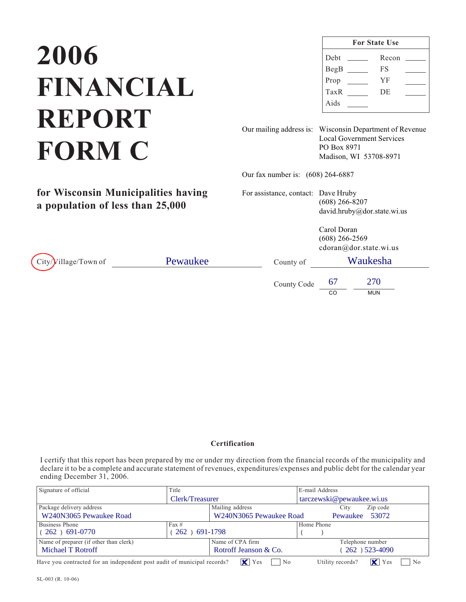## **2006 REPORT FORM C FORM C**

**for Wisconsin Municipalities having**

**a population of less than 25,000**

| <b>For State Use</b> |  |       |  |  |  |
|----------------------|--|-------|--|--|--|
| Debt                 |  | Recon |  |  |  |
| BegB                 |  | FS    |  |  |  |
| Prop                 |  | YF    |  |  |  |
| TaxR                 |  | DE    |  |  |  |
| Aids                 |  |       |  |  |  |

Our mailing address is: Wisconsin Department of Revenue Local Government Services PO Box 8971 Madison, WI 53708-8971

Our fax number is: (608) 264-6887

For assistance, contact: Dave Hruby (608) 266-8207 david.hruby@dor.state.wi.us

> Carol Doran (608) 266-2569 cdoran@dor.state.wi.us

 $City$ / $Village/Town of$  Pewaukee

County Code CO MUN County of Waukesha 67 270

I certify that this report has been prepared by me or under my direction from the financial records of the municipality and declare it to be a complete and accurate statement of revenues, expenditures/expenses and public debt for the calendar year ending December 31, 2006.

| Signature of official                                                   | Title           |                                              |                  | E-mail Address                                  |  |
|-------------------------------------------------------------------------|-----------------|----------------------------------------------|------------------|-------------------------------------------------|--|
|                                                                         | Clerk/Treasurer |                                              |                  | tarczewski@pewaukee.wi.us                       |  |
| Package delivery address                                                |                 | Mailing address                              |                  | Zip code<br>City                                |  |
| W240N3065 Pewaukee Road                                                 |                 | W240N3065 Pewaukee Road<br>53072<br>Pewaukee |                  |                                                 |  |
| Business Phone                                                          | $\text{Fax} \#$ |                                              |                  | Home Phone                                      |  |
| $(262)$ 691-0770                                                        | 262) 691-1798   |                                              |                  |                                                 |  |
| Name of preparer (if other than clerk)                                  |                 | Name of CPA firm                             | Telephone number |                                                 |  |
| Michael T Rotroff                                                       |                 | Rotroff Jeanson & Co.                        |                  | 262) 523-4090                                   |  |
| Have you contracted for an independent post audit of municipal records? |                 | $\mathsf{X}$ Yes<br>N <sub>0</sub>           |                  | KI<br>Utility records?<br>Yes<br>N <sub>0</sub> |  |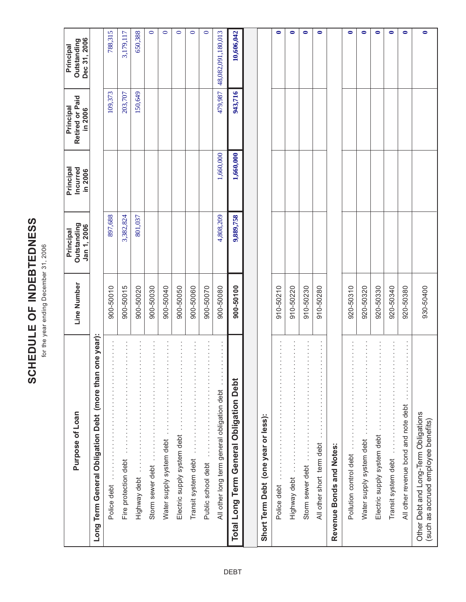# SCHEDULE OF INDEBTEDNESS **SCHEDULE OF INDEBTEDNESS**

for the year ending December 31, 2006 for the year ending December 31, 2006

| Purpose of Loan                                                                                                                                                                                                                                                                                                                                                                              | Line Number | Outstanding<br>Jan 1, 2006<br>Principal | Principal<br>Incurred<br>in 2006 | Retired or Paid<br>Principal<br>in 2006 | Dec 31, 2006<br>Outstanding<br>Principal |
|----------------------------------------------------------------------------------------------------------------------------------------------------------------------------------------------------------------------------------------------------------------------------------------------------------------------------------------------------------------------------------------------|-------------|-----------------------------------------|----------------------------------|-----------------------------------------|------------------------------------------|
| one year):<br>Long Term General Obligation Debt (more than                                                                                                                                                                                                                                                                                                                                   |             |                                         |                                  |                                         |                                          |
| $\begin{bmatrix} 1 & 1 & 1 \\ 1 & 1 & 1 \\ 1 & 1 & 1 \\ 1 & 1 & 1 \end{bmatrix}$<br>Police debt                                                                                                                                                                                                                                                                                              | 900-50010   | 897,688                                 |                                  | 109,373                                 | 788,315                                  |
| $\begin{array}{c} 1 \\ 1 \\ 2 \\ 3 \\ 4 \end{array}$<br>Fire protection debt                                                                                                                                                                                                                                                                                                                 | 900-50015   | 3,382,824                               |                                  | 203,707                                 | 3,179,117                                |
| $\begin{bmatrix} 1 & 0 & 0 & 0 \\ 0 & 1 & 0 & 0 \\ 0 & 0 & 0 & 0 \\ 0 & 0 & 0 & 0 \\ 0 & 0 & 0 & 0 \\ 0 & 0 & 0 & 0 \\ 0 & 0 & 0 & 0 \\ 0 & 0 & 0 & 0 & 0 \\ 0 & 0 & 0 & 0 & 0 \\ 0 & 0 & 0 & 0 & 0 \\ 0 & 0 & 0 & 0 & 0 & 0 \\ 0 & 0 & 0 & 0 & 0 & 0 \\ 0 & 0 & 0 & 0 & 0 & 0 \\ 0 & 0 & 0 & 0 & 0 & 0 \\ 0 & 0 & 0 & 0 & $<br>Highway debt                                                 | 900-50020   | 801,037                                 |                                  | 150,649                                 | 650,388                                  |
| $\begin{bmatrix} 1 & 0 & 0 & 0 \\ 0 & 1 & 0 & 0 \\ 0 & 0 & 0 & 0 \\ 0 & 0 & 0 & 0 \\ 0 & 0 & 0 & 0 \\ 0 & 0 & 0 & 0 \\ 0 & 0 & 0 & 0 \\ 0 & 0 & 0 & 0 & 0 \\ 0 & 0 & 0 & 0 & 0 \\ 0 & 0 & 0 & 0 & 0 \\ 0 & 0 & 0 & 0 & 0 \\ 0 & 0 & 0 & 0 & 0 & 0 \\ 0 & 0 & 0 & 0 & 0 & 0 \\ 0 & 0 & 0 & 0 & 0 & 0 \\ 0 & 0 & 0 & 0 & 0 & $<br>Storm sewer debt                                             | 900-50030   |                                         |                                  |                                         | $\bullet$                                |
| Water supply system debt                                                                                                                                                                                                                                                                                                                                                                     | 900-50040   |                                         |                                  |                                         | $\circ$                                  |
| $\begin{bmatrix} 1 & 0 & 0 & 0 \\ 0 & 1 & 0 & 0 \\ 0 & 0 & 0 & 0 \\ 0 & 0 & 0 & 0 \\ 0 & 0 & 0 & 0 \\ 0 & 0 & 0 & 0 \\ 0 & 0 & 0 & 0 \\ 0 & 0 & 0 & 0 & 0 \\ 0 & 0 & 0 & 0 & 0 \\ 0 & 0 & 0 & 0 & 0 \\ 0 & 0 & 0 & 0 & 0 \\ 0 & 0 & 0 & 0 & 0 & 0 \\ 0 & 0 & 0 & 0 & 0 & 0 \\ 0 & 0 & 0 & 0 & 0 & 0 \\ 0 & 0 & 0 & 0 & 0 & $<br>Electric supply system debt                                  | 900-50050   |                                         |                                  |                                         | $\bullet$                                |
| $\begin{bmatrix} 1 & 0 & 0 & 0 \\ 0 & 1 & 0 & 0 \\ 0 & 0 & 0 & 0 \\ 0 & 0 & 0 & 0 \\ 0 & 0 & 0 & 0 \\ 0 & 0 & 0 & 0 \\ 0 & 0 & 0 & 0 \\ 0 & 0 & 0 & 0 & 0 \\ 0 & 0 & 0 & 0 & 0 \\ 0 & 0 & 0 & 0 & 0 \\ 0 & 0 & 0 & 0 & 0 \\ 0 & 0 & 0 & 0 & 0 & 0 \\ 0 & 0 & 0 & 0 & 0 & 0 \\ 0 & 0 & 0 & 0 & 0 & 0 \\ 0 & 0 & 0 & 0 & 0 & $<br>$\vdots$<br>Transit system debt                              | 900-50060   |                                         |                                  |                                         | $\bullet$                                |
| $\begin{bmatrix} 1 & 1 & 1 \\ 1 & 1 & 1 \\ 1 & 1 & 1 \end{bmatrix}$<br>Public school debt                                                                                                                                                                                                                                                                                                    | 900-50070   |                                         |                                  |                                         | $\circ$                                  |
| $\begin{bmatrix} 1 & 0 & 0 & 0 \\ 0 & 1 & 0 & 0 \\ 0 & 0 & 0 & 0 \\ 0 & 0 & 0 & 0 \\ 0 & 0 & 0 & 0 \\ 0 & 0 & 0 & 0 \\ 0 & 0 & 0 & 0 \\ 0 & 0 & 0 & 0 & 0 \\ 0 & 0 & 0 & 0 & 0 \\ 0 & 0 & 0 & 0 & 0 \\ 0 & 0 & 0 & 0 & 0 \\ 0 & 0 & 0 & 0 & 0 & 0 \\ 0 & 0 & 0 & 0 & 0 & 0 \\ 0 & 0 & 0 & 0 & 0 & 0 \\ 0 & 0 & 0 & 0 & 0 & $<br>$\frac{1}{2}$<br>All other long term general obligation debt | 900-50080   | 4,808,209                               | 1,660,000                        | 479,987                                 | 48,082,091,180,013                       |
| <b>Term General Obligation Debt</b><br><b>Total Long</b>                                                                                                                                                                                                                                                                                                                                     | 900-50100   | 9,889,758                               | 1,660,000                        | 943,716                                 | 10,606,042                               |
|                                                                                                                                                                                                                                                                                                                                                                                              |             |                                         |                                  |                                         |                                          |
| Short Term Debt (one year or less):                                                                                                                                                                                                                                                                                                                                                          |             |                                         |                                  |                                         |                                          |
| $\cdot$<br>$\frac{1}{2}$<br>Police debt                                                                                                                                                                                                                                                                                                                                                      | 910-50210   |                                         |                                  |                                         | $\bullet$                                |
| $\begin{bmatrix} 1 & 0 & 0 & 0 \\ 0 & 1 & 0 & 0 \\ 0 & 0 & 0 & 0 \\ 0 & 0 & 0 & 0 \\ 0 & 0 & 0 & 0 \\ 0 & 0 & 0 & 0 \\ 0 & 0 & 0 & 0 \\ 0 & 0 & 0 & 0 & 0 \\ 0 & 0 & 0 & 0 & 0 \\ 0 & 0 & 0 & 0 & 0 \\ 0 & 0 & 0 & 0 & 0 \\ 0 & 0 & 0 & 0 & 0 & 0 \\ 0 & 0 & 0 & 0 & 0 & 0 \\ 0 & 0 & 0 & 0 & 0 & 0 \\ 0 & 0 & 0 & 0 & 0 & $<br>Highway debt                                                 | 910-50220   |                                         |                                  |                                         | $\bullet$                                |
| $\begin{bmatrix} 1 & 1 & 1 \\ 1 & 1 & 1 \\ 1 & 1 & 1 \\ 1 & 1 & 1 \\ 1 & 1 & 1 \\ 1 & 1 & 1 \\ 1 & 1 & 1 \\ 1 & 1 & 1 \\ 1 & 1 & 1 \\ 1 & 1 & 1 \\ 1 & 1 & 1 \\ 1 & 1 & 1 \\ 1 & 1 & 1 \\ 1 & 1 & 1 \\ 1 & 1 & 1 & 1 \\ 1 & 1 & 1 & 1 \\ 1 & 1 & 1 & 1 \\ 1 & 1 & 1 & 1 \\ 1 & 1 & 1 & 1 & 1 \\ 1 & 1 & 1 & 1 & 1 \\ 1 & 1 & 1 & $<br>Storm sewer debt                                       | 910-50230   |                                         |                                  |                                         | $\bullet$                                |
| All other short term debt                                                                                                                                                                                                                                                                                                                                                                    | 910-50280   |                                         |                                  |                                         | $\bullet$                                |
| Revenue Bonds and Notes:                                                                                                                                                                                                                                                                                                                                                                     |             |                                         |                                  |                                         |                                          |
| $\begin{array}{c} \mathbf{1} \ \mathbf{1} \ \mathbf{1} \ \mathbf{1} \ \mathbf{1} \ \mathbf{1} \ \mathbf{1} \ \mathbf{1} \ \mathbf{1} \ \mathbf{1} \ \mathbf{1} \end{array}$<br>Pollution control debt                                                                                                                                                                                        | 920-50310   |                                         |                                  |                                         | $\bullet$                                |
| $\begin{bmatrix} 1 & 0 & 0 & 0 \\ 0 & 1 & 0 & 0 \\ 0 & 0 & 0 & 0 \\ 0 & 0 & 0 & 0 \\ 0 & 0 & 0 & 0 \\ 0 & 0 & 0 & 0 \\ 0 & 0 & 0 & 0 \\ 0 & 0 & 0 & 0 & 0 \\ 0 & 0 & 0 & 0 & 0 \\ 0 & 0 & 0 & 0 & 0 \\ 0 & 0 & 0 & 0 & 0 \\ 0 & 0 & 0 & 0 & 0 & 0 \\ 0 & 0 & 0 & 0 & 0 & 0 \\ 0 & 0 & 0 & 0 & 0 & 0 \\ 0 & 0 & 0 & 0 & 0 & $<br>Water supply system debt                                     | 920-50320   |                                         |                                  |                                         | $\bullet$                                |
| $\begin{bmatrix} 1 & 1 & 1 \\ 1 & 1 & 1 \\ 1 & 1 & 1 \\ 1 & 1 & 1 \\ 1 & 1 & 1 \\ 1 & 1 & 1 \\ 1 & 1 & 1 \\ 1 & 1 & 1 \\ 1 & 1 & 1 \\ 1 & 1 & 1 \\ 1 & 1 & 1 \\ 1 & 1 & 1 \\ 1 & 1 & 1 \\ 1 & 1 & 1 & 1 \\ 1 & 1 & 1 & 1 \\ 1 & 1 & 1 & 1 \\ 1 & 1 & 1 & 1 \\ 1 & 1 & 1 & 1 \\ 1 & 1 & 1 & 1 & 1 \\ 1 & 1 & 1 & 1 & 1 \\ 1 & 1 & $<br>Electric supply system debt                            | 920-50330   |                                         |                                  |                                         | $\bullet$                                |
| Transit system debt                                                                                                                                                                                                                                                                                                                                                                          | 920-50340   |                                         |                                  |                                         | $\bullet$                                |
| $\begin{bmatrix} 1 & 0 & 0 & 0 \\ 0 & 1 & 0 & 0 \\ 0 & 0 & 0 & 0 \\ 0 & 0 & 0 & 0 \\ 0 & 0 & 0 & 0 \\ 0 & 0 & 0 & 0 \\ 0 & 0 & 0 & 0 \\ 0 & 0 & 0 & 0 & 0 \\ 0 & 0 & 0 & 0 & 0 \\ 0 & 0 & 0 & 0 & 0 \\ 0 & 0 & 0 & 0 & 0 \\ 0 & 0 & 0 & 0 & 0 & 0 \\ 0 & 0 & 0 & 0 & 0 & 0 \\ 0 & 0 & 0 & 0 & 0 & 0 \\ 0 & 0 & 0 & 0 & 0 & $<br>$\frac{1}{2}$<br>All other revenue bond and note debt        | 920-50380   |                                         |                                  |                                         | $\bullet$                                |
| Other Debt and Long-Term Obligations<br>(such as accrued employee benefits)                                                                                                                                                                                                                                                                                                                  | 930-50400   |                                         |                                  |                                         | $\bullet$                                |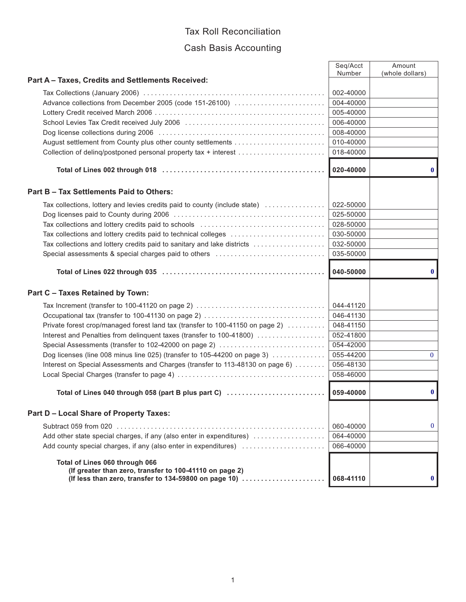#### Tax Roll Reconciliation

#### Cash Basis Accounting

|                                                                                                               | Seg/Acct<br>Number | Amount<br>(whole dollars) |
|---------------------------------------------------------------------------------------------------------------|--------------------|---------------------------|
| Part A - Taxes, Credits and Settlements Received:                                                             |                    |                           |
|                                                                                                               | 002-40000          |                           |
| Advance collections from December 2005 (code 151-26100)                                                       | 004-40000          |                           |
|                                                                                                               | 005-40000          |                           |
|                                                                                                               | 006-40000          |                           |
|                                                                                                               | 008-40000          |                           |
|                                                                                                               | 010-40000          |                           |
| Collection of deling/postponed personal property tax + interest                                               | 018-40000          |                           |
|                                                                                                               | 020-40000          | $\mathbf{0}$              |
| Part B - Tax Settlements Paid to Others:                                                                      |                    |                           |
| Tax collections, lottery and levies credits paid to county (include state)                                    | 022-50000          |                           |
|                                                                                                               | 025-50000          |                           |
|                                                                                                               | 028-50000          |                           |
| Tax collections and lottery credits paid to technical colleges                                                | 030-50000          |                           |
| Tax collections and lottery credits paid to sanitary and lake districts                                       | 032-50000          |                           |
| Special assessments & special charges paid to others contract contracts assessments and special assessments & | 035-50000          |                           |
|                                                                                                               | 040-50000          | $\bf{0}$                  |
| Part C - Taxes Retained by Town:                                                                              |                    |                           |
|                                                                                                               |                    |                           |
| Tax Increment (transfer to 100-41120 on page 2)                                                               | 044-41120          |                           |
| Occupational tax (transfer to 100-41130 on page 2)                                                            | 046-41130          |                           |
| Private forest crop/managed forest land tax (transfer to 100-41150 on page 2)                                 | 048-41150          |                           |
| Interest and Penalties from delinquent taxes (transfer to 100-41800)                                          | 052-41800          |                           |
| Special Assessments (transfer to 102-42000 on page 2)                                                         | 054-42000          |                           |
| Dog licenses (line 008 minus line 025) (transfer to 105-44200 on page 3)                                      | 055-44200          | $\mathbf{0}$              |
| Interest on Special Assessments and Charges (transfer to 113-48130 on page 6)                                 | 056-48130          |                           |
|                                                                                                               | 058-46000          |                           |
| Total of Lines 040 through 058 (part B plus part C)                                                           | 059-40000          | $\bf{0}$                  |
| <b>Part D - Local Share of Property Taxes:</b>                                                                |                    |                           |
|                                                                                                               | 060-40000          | $\mathbf{0}$              |
| Add other state special charges, if any (also enter in expenditures)                                          | 064-40000          |                           |
| Add county special charges, if any (also enter in expenditures)                                               | 066-40000          |                           |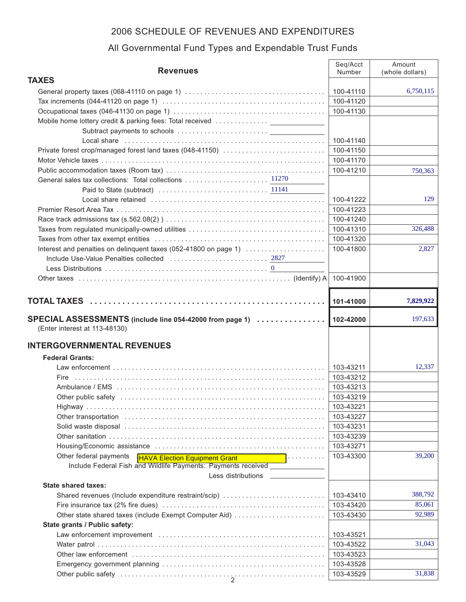| <b>Revenues</b>                                                                                                                                                                                                                | Seq/Acct  | Amount          |
|--------------------------------------------------------------------------------------------------------------------------------------------------------------------------------------------------------------------------------|-----------|-----------------|
| <b>TAXES</b>                                                                                                                                                                                                                   | Number    | (whole dollars) |
|                                                                                                                                                                                                                                | 100-41110 | 6,750,115       |
|                                                                                                                                                                                                                                | 100-41120 |                 |
|                                                                                                                                                                                                                                | 100-41130 |                 |
| Mobile home lottery credit & parking fees: Total received                                                                                                                                                                      |           |                 |
|                                                                                                                                                                                                                                |           |                 |
| Local share in the contract of the contract of the state of the contract of the contract of the contract of the contract of the contract of the contract of the contract of the contract of the contract of the contract of th | 100-41140 |                 |
| Private forest crop/managed forest land taxes (048-41150)                                                                                                                                                                      | 100-41150 |                 |
|                                                                                                                                                                                                                                | 100-41170 |                 |
|                                                                                                                                                                                                                                | 100-41210 | 750,363         |
| General sales tax collections: Total collections  11270                                                                                                                                                                        |           |                 |
|                                                                                                                                                                                                                                |           |                 |
|                                                                                                                                                                                                                                | 100-41222 | 129             |
|                                                                                                                                                                                                                                | 100-41223 |                 |
|                                                                                                                                                                                                                                | 100-41240 |                 |
|                                                                                                                                                                                                                                | 100-41310 | 326,488         |
|                                                                                                                                                                                                                                | 100-41320 |                 |
| Interest and penalties on delinquent taxes (052-41800 on page 1)                                                                                                                                                               | 100-41800 | 2,827           |
|                                                                                                                                                                                                                                |           |                 |
|                                                                                                                                                                                                                                |           |                 |
|                                                                                                                                                                                                                                | 100-41900 |                 |
|                                                                                                                                                                                                                                |           |                 |
|                                                                                                                                                                                                                                | 101-41000 | 7,829,922       |
|                                                                                                                                                                                                                                |           |                 |
| SPECIAL ASSESSMENTS (include line 054-42000 from page 1)                                                                                                                                                                       | 102-42000 | 197,633         |
| (Enter interest at 113-48130)                                                                                                                                                                                                  |           |                 |
|                                                                                                                                                                                                                                |           |                 |
| <b>INTERGOVERNMENTAL REVENUES</b>                                                                                                                                                                                              |           |                 |
| <b>Federal Grants:</b>                                                                                                                                                                                                         |           |                 |
|                                                                                                                                                                                                                                | 103-43211 | 12,337          |
|                                                                                                                                                                                                                                | 103-43212 |                 |
|                                                                                                                                                                                                                                | 103-43213 |                 |
|                                                                                                                                                                                                                                | 103-43219 |                 |
|                                                                                                                                                                                                                                | 103-43221 |                 |
|                                                                                                                                                                                                                                | 103-43227 |                 |
|                                                                                                                                                                                                                                | 103-43231 |                 |
|                                                                                                                                                                                                                                | 103-43239 |                 |
|                                                                                                                                                                                                                                | 103-43271 |                 |
| Other federal payments<br>.<br><b>HAVA Election Equipment Grant</b>                                                                                                                                                            | 103-43300 | 39,200          |
| Include Federal Fish and Wildlife Payments: Payments received _____________                                                                                                                                                    |           |                 |
| Less distributions                                                                                                                                                                                                             |           |                 |
| <b>State shared taxes:</b>                                                                                                                                                                                                     |           |                 |
| Shared revenues (Include expenditure restraint/scip)                                                                                                                                                                           | 103-43410 | 388,792         |
|                                                                                                                                                                                                                                | 103-43420 | 85,061          |
| Other state shared taxes (include Exempt Computer Aid)                                                                                                                                                                         | 103-43430 | 92,989          |
| State grants / Public safety:                                                                                                                                                                                                  |           |                 |
|                                                                                                                                                                                                                                | 103-43521 |                 |
|                                                                                                                                                                                                                                | 103-43522 | 31,043          |
|                                                                                                                                                                                                                                | 103-43523 |                 |
|                                                                                                                                                                                                                                | 103-43528 |                 |
|                                                                                                                                                                                                                                | 103-43529 | 31,838          |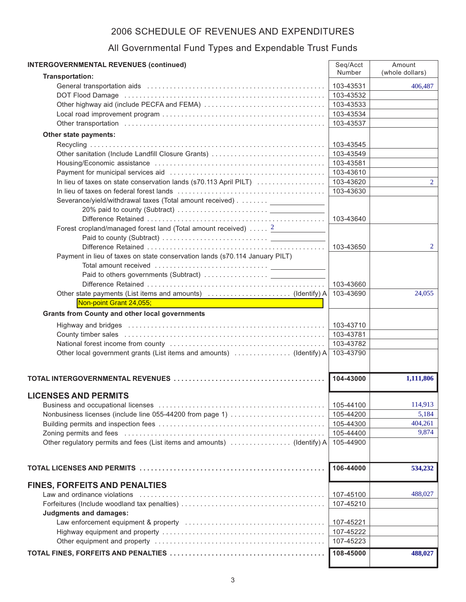| <b>INTERGOVERNMENTAL REVENUES (continued)</b>                               | Seq/Acct  | Amount          |
|-----------------------------------------------------------------------------|-----------|-----------------|
| Transportation:                                                             | Number    | (whole dollars) |
|                                                                             | 103-43531 | 406.487         |
|                                                                             | 103-43532 |                 |
|                                                                             | 103-43533 |                 |
|                                                                             | 103-43534 |                 |
|                                                                             | 103-43537 |                 |
| Other state payments:                                                       |           |                 |
|                                                                             | 103-43545 |                 |
| Other sanitation (Include Landfill Closure Grants)                          | 103-43549 |                 |
|                                                                             | 103-43581 |                 |
|                                                                             | 103-43610 |                 |
| In lieu of taxes on state conservation lands (s70.113 April PILT)           | 103-43620 | $\overline{2}$  |
|                                                                             | 103-43630 |                 |
| Severance/yield/withdrawal taxes (Total amount received) ______________     |           |                 |
|                                                                             | 103-43640 |                 |
| Forest cropland/managed forest land (Total amount received) <sup>2</sup>    |           |                 |
|                                                                             |           |                 |
|                                                                             | 103-43650 | 2               |
| Payment in lieu of taxes on state conservation lands (s70.114 January PILT) |           |                 |
|                                                                             |           |                 |
|                                                                             |           |                 |
|                                                                             | 103-43660 |                 |
|                                                                             | 103-43690 | 24,055          |
| Non-point Grant 24,055;                                                     |           |                 |
| <b>Grants from County and other local governments</b>                       |           |                 |
|                                                                             | 103-43710 |                 |
|                                                                             | 103-43781 |                 |
|                                                                             | 103-43782 |                 |
| Other local government grants (List items and amounts)  (Identify) A        | 103-43790 |                 |
|                                                                             | 104-43000 | 1,111,806       |
|                                                                             |           |                 |
| <b>LICENSES AND PERMITS</b>                                                 |           |                 |
|                                                                             | 105-44100 | 114,913         |
| Nonbusiness licenses (include line 055-44200 from page 1)                   | 105-44200 | 5,184           |
|                                                                             | 105-44300 | 404,261         |
|                                                                             | 105-44400 | 9,874           |
| Other regulatory permits and fees (List items and amounts)  (Identify) A    | 105-44900 |                 |
|                                                                             |           |                 |
|                                                                             | 106-44000 | 534,232         |
|                                                                             |           |                 |
| <b>FINES, FORFEITS AND PENALTIES</b>                                        |           |                 |
|                                                                             | 107-45100 | 488,027         |
|                                                                             | 107-45210 |                 |
| <b>Judgments and damages:</b>                                               |           |                 |
|                                                                             | 107-45221 |                 |
|                                                                             | 107-45222 |                 |
|                                                                             | 107-45223 |                 |
|                                                                             | 108-45000 | 488,027         |

J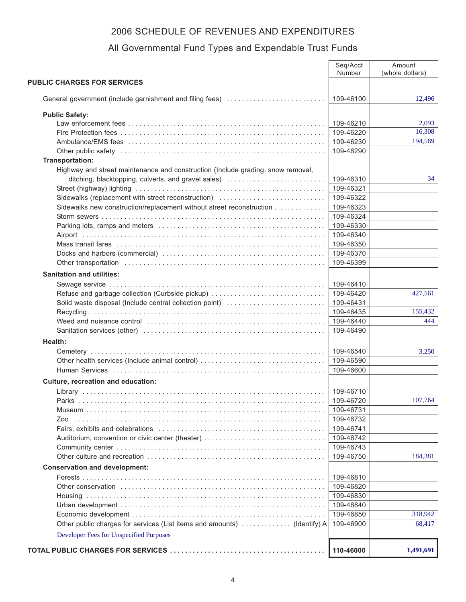|                                                                                 | Seq/Acct<br>Number     | Amount<br>(whole dollars) |
|---------------------------------------------------------------------------------|------------------------|---------------------------|
| <b>PUBLIC CHARGES FOR SERVICES</b>                                              |                        |                           |
|                                                                                 |                        |                           |
| General government (include garnishment and filing fees)                        | 109-46100              | 12,496                    |
| <b>Public Safety:</b>                                                           |                        |                           |
|                                                                                 | 109-46210              | 2,093                     |
|                                                                                 | 109-46220              | 16,308                    |
|                                                                                 | 109-46230              | 194,569                   |
|                                                                                 | 109-46290              |                           |
| Transportation:                                                                 |                        |                           |
| Highway and street maintenance and construction (Include grading, snow removal, |                        |                           |
| ditching, blacktopping, culverts, and gravel sales)                             | 109-46310              | 34                        |
|                                                                                 | 109-46321              |                           |
| Sidewalks (replacement with street reconstruction)                              | 109-46322              |                           |
| Sidewalks new construction/replacement without street reconstruction            | 109-46323              |                           |
|                                                                                 | 109-46324              |                           |
|                                                                                 | 109-46330              |                           |
|                                                                                 | 109-46340              |                           |
|                                                                                 | 109-46350              |                           |
|                                                                                 | 109-46370              |                           |
|                                                                                 | 109-46399              |                           |
| <b>Sanitation and utilities:</b>                                                |                        |                           |
|                                                                                 | 109-46410              |                           |
| Refuse and garbage collection (Curbside pickup)                                 | 109-46420              | 427,561                   |
| Solid waste disposal (Include central collection point)                         | 109-46431              |                           |
|                                                                                 | 109-46435              | 155,432                   |
|                                                                                 | 109-46440              | 444                       |
|                                                                                 | 109-46490              |                           |
| Health:                                                                         |                        |                           |
|                                                                                 | 109-46540              | 3,250                     |
| Other health services (Include animal control)                                  | 109-46590              |                           |
|                                                                                 | 109-46600              |                           |
| <b>Culture, recreation and education:</b>                                       |                        |                           |
|                                                                                 | 109-46710              |                           |
| Parks                                                                           | 109-46720              | 107.764                   |
|                                                                                 | 109-46731              |                           |
| Zoo                                                                             | 109-46732              |                           |
|                                                                                 | 109-46741              |                           |
| Auditorium, convention or civic center (theater)                                | 109-46742              |                           |
|                                                                                 | 109-46743              |                           |
|                                                                                 | 109-46750              | 184,381                   |
| <b>Conservation and development:</b>                                            |                        |                           |
|                                                                                 | 109-46810              |                           |
|                                                                                 | 109-46820              |                           |
|                                                                                 | 109-46830              |                           |
|                                                                                 |                        |                           |
|                                                                                 | 109-46840<br>109-46850 | 318,942                   |
| Other public charges for services (List items and amounts)  (Identify) A        | 109-46900              | 68,417                    |
|                                                                                 |                        |                           |
| Developer Fees for Unspecified Purposes                                         |                        |                           |
|                                                                                 | 110-46000              | 1,491,691                 |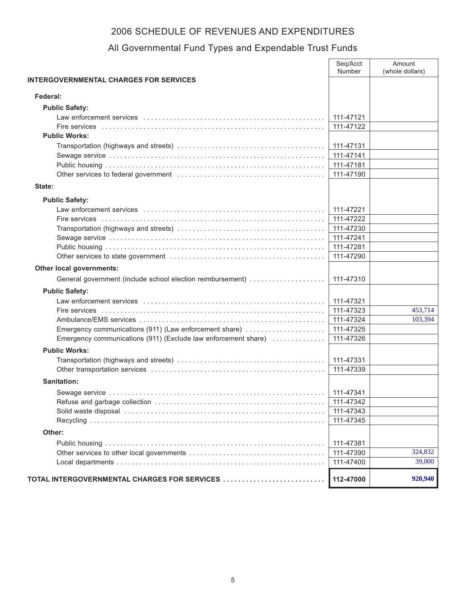|                                                                | Seq/Acct<br>Number | Amount<br>(whole dollars) |
|----------------------------------------------------------------|--------------------|---------------------------|
| <b>INTERGOVERNMENTAL CHARGES FOR SERVICES</b>                  |                    |                           |
|                                                                |                    |                           |
| Federal:                                                       |                    |                           |
| <b>Public Safety:</b>                                          |                    |                           |
|                                                                | 111-47121          |                           |
|                                                                | 111-47122          |                           |
| <b>Public Works:</b>                                           |                    |                           |
|                                                                | 111-47131          |                           |
|                                                                | 111-47141          |                           |
|                                                                | 111-47181          |                           |
|                                                                | 111-47190          |                           |
| State:                                                         |                    |                           |
| <b>Public Safety:</b>                                          |                    |                           |
|                                                                | 111-47221          |                           |
|                                                                | 111-47222          |                           |
|                                                                | 111-47230          |                           |
|                                                                | 111-47241          |                           |
|                                                                | 111-47281          |                           |
|                                                                | 111-47290          |                           |
| Other local governments:                                       |                    |                           |
| General government (include school election reimbursement)     | 111-47310          |                           |
| <b>Public Safety:</b>                                          |                    |                           |
|                                                                | 111-47321          |                           |
|                                                                | 111-47323          | 453,714                   |
|                                                                | 111-47324          | 103,394                   |
| Emergency communications (911) (Law enforcement share)         | 111-47325          |                           |
| Emergency communications (911) (Exclude law enforcement share) | 111-47326          |                           |
| <b>Public Works:</b>                                           |                    |                           |
|                                                                | 111-47331          |                           |
|                                                                | 111-47339          |                           |
| Sanitation:                                                    |                    |                           |
|                                                                | 111-47341          |                           |
|                                                                | 111-47342          |                           |
|                                                                | 111-47343          |                           |
|                                                                | 111-47345          |                           |
| Other:                                                         |                    |                           |
|                                                                | 111-47381          |                           |
|                                                                | 111-47390          | 324,832                   |
|                                                                | 111-47400          | 39,000                    |
| TOTAL INTERGOVERNMENTAL CHARGES FOR SERVICES                   | 112-47000          | 920,940                   |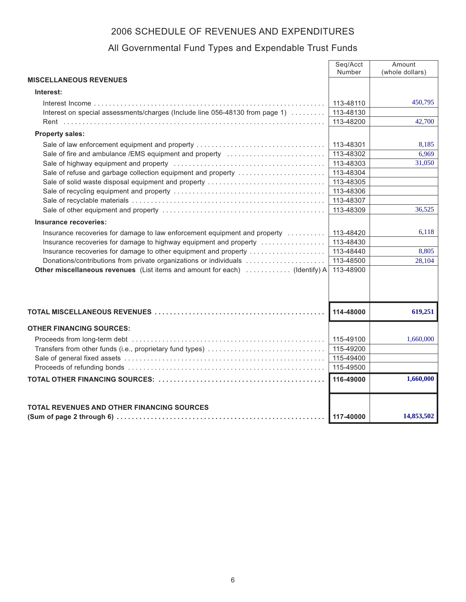|                                                                              | Seq/Acct<br>Number | Amount<br>(whole dollars) |
|------------------------------------------------------------------------------|--------------------|---------------------------|
| <b>MISCELLANEOUS REVENUES</b>                                                |                    |                           |
| Interest:                                                                    |                    |                           |
|                                                                              | 113-48110          | 450,795                   |
| Interest on special assessments/charges (Include line 056-48130 from page 1) | 113-48130          |                           |
|                                                                              | 113-48200          | 42,700                    |
| <b>Property sales:</b>                                                       |                    |                           |
| Sale of law enforcement equipment and property                               | 113-48301          | 8,185                     |
| Sale of fire and ambulance /EMS equipment and property                       | 113-48302          | 6,969                     |
|                                                                              | 113-48303          | 31,050                    |
| Sale of refuse and garbage collection equipment and property                 | 113-48304          |                           |
| Sale of solid waste disposal equipment and property                          | 113-48305          |                           |
|                                                                              | 113-48306          |                           |
|                                                                              | 113-48307          |                           |
|                                                                              | 113-48309          | 36.525                    |
| Insurance recoveries:                                                        |                    |                           |
| Insurance recoveries for damage to law enforcement equipment and property    | 113-48420          | 6.118                     |
| Insurance recoveries for damage to highway equipment and property            | 113-48430          |                           |
| Insurance recoveries for damage to other equipment and property              | 113-48440          | 8,805                     |
| Donations/contributions from private organizations or individuals            | 113-48500          | 28,104                    |
| Other miscellaneous revenues (List items and amount for each)  (Identify) A  | 113-48900          |                           |
|                                                                              |                    |                           |
|                                                                              | 114-48000          | 619,251                   |
| <b>OTHER FINANCING SOURCES:</b>                                              |                    |                           |
|                                                                              | 115-49100          | 1,660,000                 |
|                                                                              | 115-49200          |                           |
|                                                                              | 115-49400          |                           |
|                                                                              | 115-49500          |                           |
|                                                                              | 116-49000          | 1,660,000                 |
|                                                                              |                    |                           |
| TOTAL REVENUES AND OTHER FINANCING SOURCES                                   |                    |                           |
|                                                                              | 117-40000          | 14,853,502                |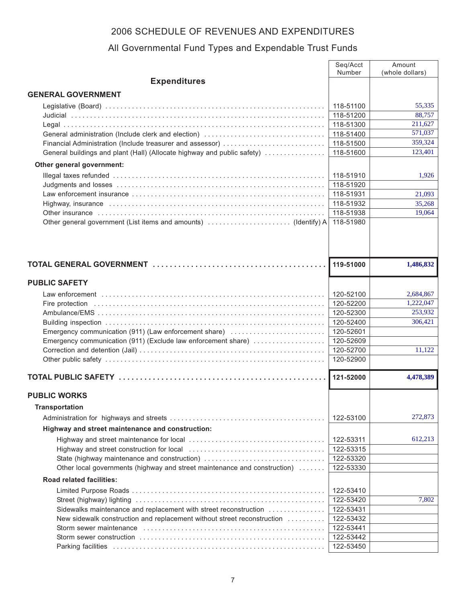|                                                                           | Seq/Acct<br>Number     | Amount<br>(whole dollars) |
|---------------------------------------------------------------------------|------------------------|---------------------------|
| <b>Expenditures</b>                                                       |                        |                           |
| <b>GENERAL GOVERNMENT</b>                                                 |                        |                           |
|                                                                           | 118-51100              | 55,335                    |
|                                                                           | 118-51200              | 88,757                    |
|                                                                           | 118-51300              | 211,627                   |
| General administration (Include clerk and election)                       | 118-51400              | 571,037                   |
| Financial Administration (Include treasurer and assessor)                 | 118-51500              | 359,324                   |
| General buildings and plant (Hall) (Allocate highway and public safety)   | 118-51600              | 123,401                   |
| Other general government:                                                 |                        |                           |
|                                                                           | 118-51910              | 1,926                     |
|                                                                           | 118-51920              |                           |
|                                                                           | 118-51931              | 21,093                    |
|                                                                           | 118-51932              | 35,268                    |
|                                                                           | 118-51938              | 19,064                    |
|                                                                           | 118-51980              |                           |
|                                                                           |                        |                           |
|                                                                           | 119-51000              | 1,486,832                 |
| <b>PUBLIC SAFETY</b>                                                      |                        |                           |
|                                                                           | 120-52100              | 2,684,867                 |
|                                                                           | 120-52200              | 1,222,047                 |
|                                                                           | 120-52300              | 253,932                   |
|                                                                           | 120-52400              | 306,421                   |
| Emergency communication (911) (Law enforcement share)                     | 120-52601              |                           |
| Emergency communication (911) (Exclude law enforcement share)             | 120-52609              |                           |
|                                                                           | 120-52700              | 11,122                    |
|                                                                           | 120-52900              |                           |
|                                                                           | 121-52000              | 4,478,389                 |
| <b>PUBLIC WORKS</b>                                                       |                        |                           |
| <b>Transportation</b>                                                     |                        |                           |
|                                                                           | 122-53100              | 272,873                   |
| Highway and street maintenance and construction:                          |                        |                           |
|                                                                           |                        | 612,213                   |
|                                                                           | 122-53311<br>122-53315 |                           |
| State (highway maintenance and construction)                              | 122-53320              |                           |
| Other local governments (highway and street maintenance and construction) | 122-53330              |                           |
| <b>Road related facilities:</b>                                           |                        |                           |
|                                                                           | 122-53410              |                           |
|                                                                           | 122-53420              | 7,802                     |
| Sidewalks maintenance and replacement with street reconstruction          | 122-53431              |                           |
| New sidewalk construction and replacement without street reconstruction   | 122-53432              |                           |
|                                                                           | 122-53441              |                           |
|                                                                           | 122-53442              |                           |
|                                                                           | 122-53450              |                           |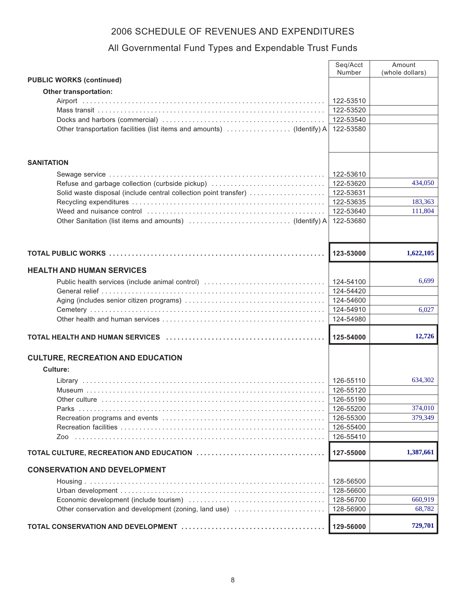|                                                                       | Seq/Acct<br>Number | Amount<br>(whole dollars) |
|-----------------------------------------------------------------------|--------------------|---------------------------|
| <b>PUBLIC WORKS (continued)</b>                                       |                    |                           |
| <b>Other transportation:</b>                                          |                    |                           |
|                                                                       | 122-53510          |                           |
|                                                                       | 122-53520          |                           |
|                                                                       | 122-53540          |                           |
| Other transportation facilities (list items and amounts) (Identify) A | 122-53580          |                           |
|                                                                       |                    |                           |
|                                                                       |                    |                           |
| <b>SANITATION</b>                                                     |                    |                           |
|                                                                       |                    |                           |
|                                                                       | 122-53610          |                           |
| Refuse and garbage collection (curbside pickup)                       | 122-53620          | 434,050                   |
| Solid waste disposal (include central collection point transfer)      | 122-53631          |                           |
|                                                                       | 122-53635          | 183,363                   |
|                                                                       | 122-53640          | 111,804                   |
|                                                                       | 122-53680          |                           |
|                                                                       |                    |                           |
|                                                                       |                    |                           |
|                                                                       | 123-53000          | 1,622,105                 |
| <b>HEALTH AND HUMAN SERVICES</b>                                      |                    |                           |
| Public health services (include animal control)                       | 124-54100          | 6,699                     |
|                                                                       | 124-54420          |                           |
|                                                                       | 124-54600          |                           |
|                                                                       | 124-54910          | 6,027                     |
|                                                                       | 124-54980          |                           |
|                                                                       |                    |                           |
|                                                                       | 125-54000          | 12,726                    |
| <b>CULTURE, RECREATION AND EDUCATION</b>                              |                    |                           |
| Culture:                                                              |                    |                           |
|                                                                       | 126-55110          | 634,302                   |
|                                                                       |                    |                           |
|                                                                       | 126-55120          |                           |
|                                                                       | 126-55190          |                           |
|                                                                       | 126-55200          | 374,010                   |
|                                                                       | 126-55300          | 379,349                   |
|                                                                       | 126-55400          |                           |
| Zoo                                                                   | 126-55410          |                           |
|                                                                       | 127-55000          | 1,387,661                 |
| <b>CONSERVATION AND DEVELOPMENT</b>                                   |                    |                           |
|                                                                       | 128-56500          |                           |
|                                                                       | 128-56600          |                           |
|                                                                       | 128-56700          | 660,919                   |
| Other conservation and development (zoning, land use)                 | 128-56900          | 68,782                    |
|                                                                       |                    |                           |
|                                                                       | 129-56000          | 729,701                   |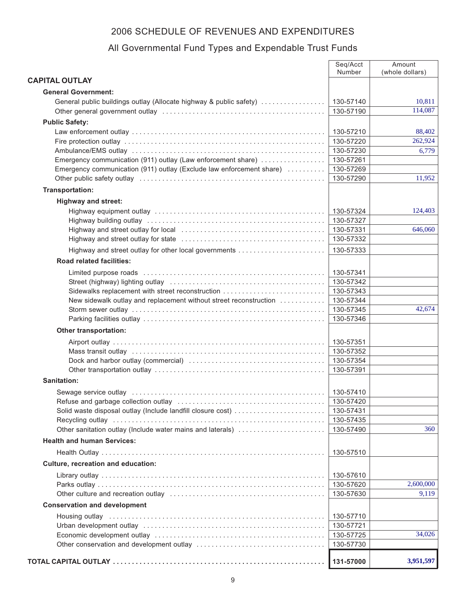|                                                                                                                                                                                                                                | Seq/Acct               | Amount             |
|--------------------------------------------------------------------------------------------------------------------------------------------------------------------------------------------------------------------------------|------------------------|--------------------|
|                                                                                                                                                                                                                                | Number                 | (whole dollars)    |
| <b>CAPITAL OUTLAY</b>                                                                                                                                                                                                          |                        |                    |
| <b>General Government:</b>                                                                                                                                                                                                     |                        |                    |
| General public buildings outlay (Allocate highway & public safety)                                                                                                                                                             | 130-57140              | 10,811<br>114,087  |
|                                                                                                                                                                                                                                | 130-57190              |                    |
| <b>Public Safety:</b>                                                                                                                                                                                                          |                        |                    |
|                                                                                                                                                                                                                                | 130-57210<br>130-57220 | 88,402<br>262,924  |
|                                                                                                                                                                                                                                | 130-57230              |                    |
| Emergency communication (911) outlay (Law enforcement share)                                                                                                                                                                   | 130-57261              | 6,779              |
| Emergency communication (911) outlay (Exclude law enforcement share)                                                                                                                                                           | 130-57269              |                    |
|                                                                                                                                                                                                                                | 130-57290              | 11,952             |
| Transportation:                                                                                                                                                                                                                |                        |                    |
| <b>Highway and street:</b>                                                                                                                                                                                                     |                        |                    |
|                                                                                                                                                                                                                                | 130-57324              | 124,403            |
|                                                                                                                                                                                                                                | 130-57327              |                    |
|                                                                                                                                                                                                                                | 130-57331              | 646,060            |
|                                                                                                                                                                                                                                | 130-57332              |                    |
|                                                                                                                                                                                                                                | 130-57333              |                    |
| <b>Road related facilities:</b>                                                                                                                                                                                                |                        |                    |
|                                                                                                                                                                                                                                |                        |                    |
|                                                                                                                                                                                                                                | 130-57341              |                    |
|                                                                                                                                                                                                                                | 130-57342<br>130-57343 |                    |
| Sidewalks replacement with street reconstruction<br>New sidewalk outlay and replacement without street reconstruction                                                                                                          | 130-57344              |                    |
|                                                                                                                                                                                                                                | 130-57345              | 42,674             |
|                                                                                                                                                                                                                                | 130-57346              |                    |
| <b>Other transportation:</b>                                                                                                                                                                                                   |                        |                    |
|                                                                                                                                                                                                                                | 130-57351              |                    |
|                                                                                                                                                                                                                                | 130-57352              |                    |
|                                                                                                                                                                                                                                | 130-57354              |                    |
|                                                                                                                                                                                                                                | 130-57391              |                    |
| <b>Sanitation:</b>                                                                                                                                                                                                             |                        |                    |
|                                                                                                                                                                                                                                | 130-57410              |                    |
|                                                                                                                                                                                                                                | 130-57420              |                    |
| Solid waste disposal outlay (Include landfill closure cost)                                                                                                                                                                    | 130-57431              |                    |
|                                                                                                                                                                                                                                | 130-57435              |                    |
| Other sanitation outlay (Include water mains and laterals)                                                                                                                                                                     | 130-57490              | 360                |
| <b>Health and human Services:</b>                                                                                                                                                                                              |                        |                    |
|                                                                                                                                                                                                                                | 130-57510              |                    |
| Culture, recreation and education:                                                                                                                                                                                             |                        |                    |
|                                                                                                                                                                                                                                |                        |                    |
|                                                                                                                                                                                                                                | 130-57610              |                    |
|                                                                                                                                                                                                                                | 130-57620              | 2,600,000<br>9,119 |
|                                                                                                                                                                                                                                | 130-57630              |                    |
| <b>Conservation and development</b>                                                                                                                                                                                            |                        |                    |
| Housing outlay in the continuum control of the control of the control of the control of the control of the control of the control of the control of the control of the control of the control of the control of the control of | 130-57710              |                    |
|                                                                                                                                                                                                                                | 130-57721              |                    |
|                                                                                                                                                                                                                                | 130-57725              | 34,026             |
|                                                                                                                                                                                                                                | 130-57730              |                    |
|                                                                                                                                                                                                                                | 131-57000              | 3,951,597          |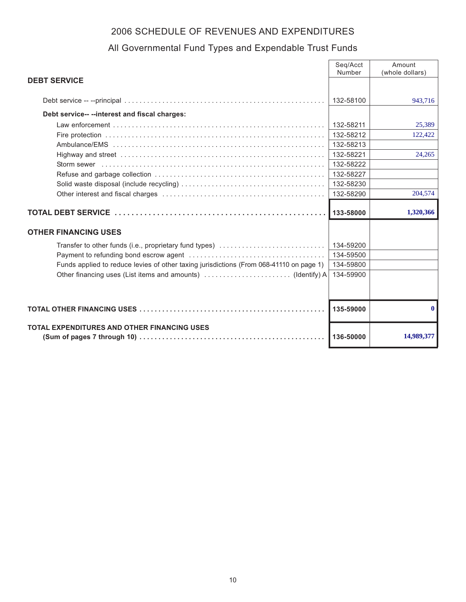|                                                                                         | Seg/Acct<br>Number | Amount<br>(whole dollars) |
|-----------------------------------------------------------------------------------------|--------------------|---------------------------|
| <b>DEBT SERVICE</b>                                                                     |                    |                           |
|                                                                                         |                    |                           |
|                                                                                         | 132-58100          | 943.716                   |
| Debt service-- -- interest and fiscal charges:                                          |                    |                           |
|                                                                                         | 132-58211          | 25,389                    |
|                                                                                         | 132-58212          | 122,422                   |
|                                                                                         | 132-58213          |                           |
|                                                                                         | 132-58221          | 24,265                    |
|                                                                                         | 132-58222          |                           |
|                                                                                         | 132-58227          |                           |
|                                                                                         | 132-58230          |                           |
|                                                                                         | 132-58290          | 204,574                   |
|                                                                                         | 133-58000          | 1,320,366                 |
|                                                                                         |                    |                           |
| <b>OTHER FINANCING USES</b>                                                             |                    |                           |
| Transfer to other funds (i.e., proprietary fund types)                                  | 134-59200          |                           |
|                                                                                         | 134-59500          |                           |
| Funds applied to reduce levies of other taxing jurisdictions (From 068-41110 on page 1) | 134-59800          |                           |
|                                                                                         | 134-59900          |                           |
|                                                                                         |                    |                           |
|                                                                                         |                    |                           |
|                                                                                         | 135-59000          | 0                         |
| <b>TOTAL EXPENDITURES AND OTHER FINANCING USES</b>                                      |                    |                           |
|                                                                                         | 136-50000          | 14,989,377                |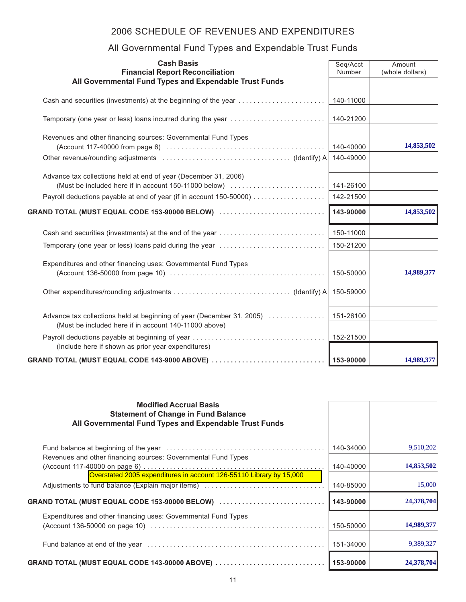| <b>Cash Basis</b><br><b>Financial Report Reconciliation</b><br>All Governmental Fund Types and Expendable Trust Funds          | Seq/Acct<br>Number | Amount<br>(whole dollars) |
|--------------------------------------------------------------------------------------------------------------------------------|--------------------|---------------------------|
|                                                                                                                                |                    |                           |
| Cash and securities (investments) at the beginning of the year                                                                 | 140-11000          |                           |
| Temporary (one year or less) loans incurred during the year                                                                    | 140-21200          |                           |
| Revenues and other financing sources: Governmental Fund Types                                                                  |                    |                           |
|                                                                                                                                | 140-40000          | 14,853,502                |
|                                                                                                                                | 140-49000          |                           |
| Advance tax collections held at end of year (December 31, 2006)                                                                |                    |                           |
| (Must be included here if in account 150-11000 below)                                                                          | 141-26100          |                           |
|                                                                                                                                | 142-21500          |                           |
| GRAND TOTAL (MUST EQUAL CODE 153-90000 BELOW) $\ldots\ldots\ldots\ldots\ldots\ldots\ldots\ldots\ldots$                         | 143-90000          | 14,853,502                |
| Cash and securities (investments) at the end of the year                                                                       | 150-11000          |                           |
| Temporary (one year or less) loans paid during the year                                                                        | 150-21200          |                           |
| Expenditures and other financing uses: Governmental Fund Types                                                                 |                    |                           |
|                                                                                                                                | 150-50000          | 14,989,377                |
|                                                                                                                                | 150-59000          |                           |
| Advance tax collections held at beginning of year (December 31, 2005)<br>(Must be included here if in account 140-11000 above) | 151-26100          |                           |
| (Include here if shown as prior year expenditures)                                                                             |                    |                           |
| GRAND TOTAL (MUST EQUAL CODE 143-9000 ABOVE) $\ldots$                                                                          | 153-90000          | 14,989,377                |

| <b>Modified Accrual Basis</b><br><b>Statement of Change in Fund Balance</b><br>All Governmental Fund Types and Expendable Trust Funds |           |            |
|---------------------------------------------------------------------------------------------------------------------------------------|-----------|------------|
|                                                                                                                                       | 140-34000 | 9,510,202  |
| Revenues and other financing sources: Governmental Fund Types                                                                         | 140-40000 | 14,853,502 |
|                                                                                                                                       | 140-85000 | 15,000     |
| $GRAND$ TOTAL (MUST EQUAL CODE 153-90000 BELOW) $\ldots\ldots\ldots\ldots\ldots\ldots\ldots\ldots\ldots$                              | 143-90000 | 24,378,704 |
| Expenditures and other financing uses: Governmental Fund Types                                                                        | 150-50000 | 14,989,377 |
|                                                                                                                                       | 151-34000 | 9,389,327  |
| $GRAND$ TOTAL (MUST EQUAL CODE 143-90000 ABOVE) $\ldots$                                                                              | 153-90000 | 24,378,704 |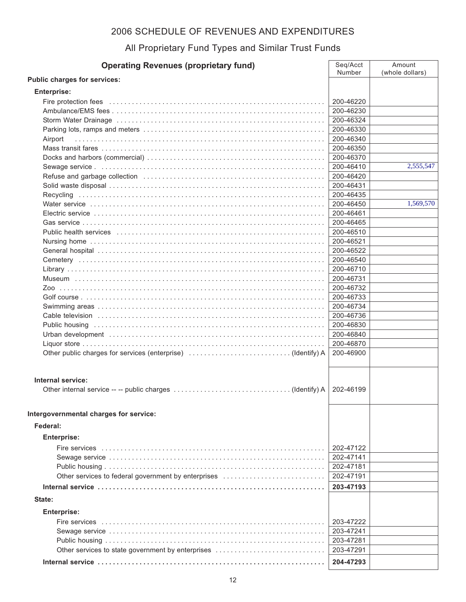#### All Proprietary Fund Types and Similar Trust Funds

| <b>Operating Revenues (proprietary fund)</b>                | Seq/Acct<br>Number | Amount<br>(whole dollars) |
|-------------------------------------------------------------|--------------------|---------------------------|
| Public charges for services:                                |                    |                           |
| <b>Enterprise:</b>                                          |                    |                           |
|                                                             | 200-46220          |                           |
|                                                             | 200-46230          |                           |
|                                                             | 200-46324          |                           |
|                                                             | 200-46330          |                           |
| Airport                                                     | 200-46340          |                           |
|                                                             | 200-46350          |                           |
|                                                             | 200-46370          |                           |
|                                                             | 200-46410          | 2,555,547                 |
|                                                             | 200-46420          |                           |
|                                                             | 200-46431          |                           |
|                                                             | 200-46435          |                           |
|                                                             | 200-46450          | 1,569,570                 |
|                                                             | 200-46461          |                           |
|                                                             | 200-46465          |                           |
|                                                             | 200-46510          |                           |
|                                                             | 200-46521          |                           |
|                                                             | 200-46522          |                           |
|                                                             | 200-46540          |                           |
|                                                             | 200-46710          |                           |
|                                                             | 200-46731          |                           |
|                                                             | 200-46732          |                           |
|                                                             | 200-46733          |                           |
|                                                             | 200-46734          |                           |
|                                                             | 200-46736          |                           |
|                                                             | 200-46830          |                           |
|                                                             | 200-46840          |                           |
|                                                             | 200-46870          |                           |
| Other public charges for services (enterprise) (Identify) A | 200-46900          |                           |
| Internal service:                                           |                    |                           |
|                                                             | 202-46199          |                           |
| Intergovernmental charges for service:                      |                    |                           |
| Federal:                                                    |                    |                           |
| <b>Enterprise:</b>                                          |                    |                           |
|                                                             | 202-47122          |                           |
|                                                             | 202-47141          |                           |
|                                                             | 202-47181          |                           |
| Other services to federal government by enterprises         | 202-47191          |                           |
|                                                             | 203-47193          |                           |
|                                                             |                    |                           |
| State:                                                      |                    |                           |
| <b>Enterprise:</b>                                          |                    |                           |
|                                                             | 203-47222          |                           |
|                                                             | 203-47241          |                           |
|                                                             | 203-47281          |                           |
| Other services to state government by enterprises           | 203-47291          |                           |
|                                                             | 204-47293          |                           |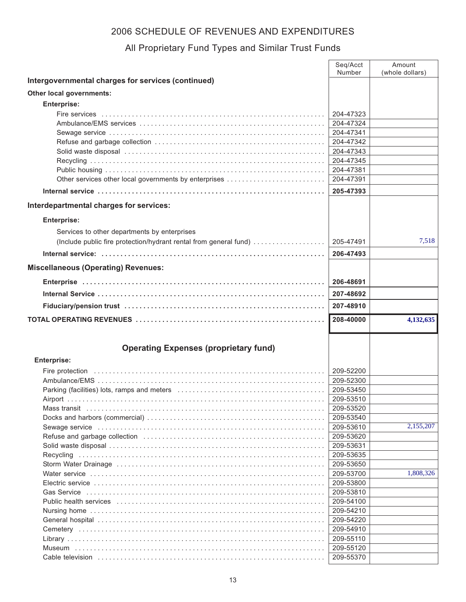#### All Proprietary Fund Types and Similar Trust Funds

|                                                                   | Seq/Acct<br>Number     | Amount<br>(whole dollars) |
|-------------------------------------------------------------------|------------------------|---------------------------|
| Intergovernmental charges for services (continued)                |                        |                           |
| Other local governments:                                          |                        |                           |
| <b>Enterprise:</b>                                                |                        |                           |
|                                                                   | 204-47323              |                           |
|                                                                   | 204-47324              |                           |
|                                                                   | 204-47341              |                           |
|                                                                   | 204-47342              |                           |
|                                                                   | 204-47343              |                           |
|                                                                   | 204-47345              |                           |
|                                                                   | 204-47381              |                           |
| Other services other local governments by enterprises             | 204-47391              |                           |
|                                                                   | 205-47393              |                           |
| Interdepartmental charges for services:                           |                        |                           |
|                                                                   |                        |                           |
| <b>Enterprise:</b>                                                |                        |                           |
| Services to other departments by enterprises                      |                        |                           |
| (Include public fire protection/hydrant rental from general fund) | 205-47491              | 7,518                     |
|                                                                   | 206-47493              |                           |
| <b>Miscellaneous (Operating) Revenues:</b>                        |                        |                           |
|                                                                   | 206-48691              |                           |
|                                                                   | 207-48692              |                           |
|                                                                   |                        |                           |
|                                                                   | 207-48910              |                           |
|                                                                   | 208-40000              | 4,132,635                 |
|                                                                   |                        |                           |
| <b>Operating Expenses (proprietary fund)</b>                      |                        |                           |
| <b>Enterprise:</b>                                                |                        |                           |
|                                                                   |                        |                           |
|                                                                   | 209-52200<br>209-52300 |                           |
|                                                                   | 209-53450              |                           |
|                                                                   | 209-53510              |                           |
|                                                                   | 209-53520              |                           |
|                                                                   | 209-53540              |                           |
|                                                                   | 209-53610              | 2,155,207                 |
|                                                                   | 209-53620              |                           |
|                                                                   | 209-53631              |                           |
|                                                                   | 209-53635              |                           |
|                                                                   | 209-53650              |                           |
|                                                                   | 209-53700              | 1,808,326                 |
|                                                                   | 209-53800              |                           |
|                                                                   | 209-53810              |                           |
|                                                                   |                        |                           |
|                                                                   | 209-54100              |                           |
|                                                                   | 209-54210              |                           |
|                                                                   | 209-54220              |                           |
|                                                                   | 209-54910              |                           |
|                                                                   | 209-55110              |                           |
|                                                                   | 209-55120<br>209-55370 |                           |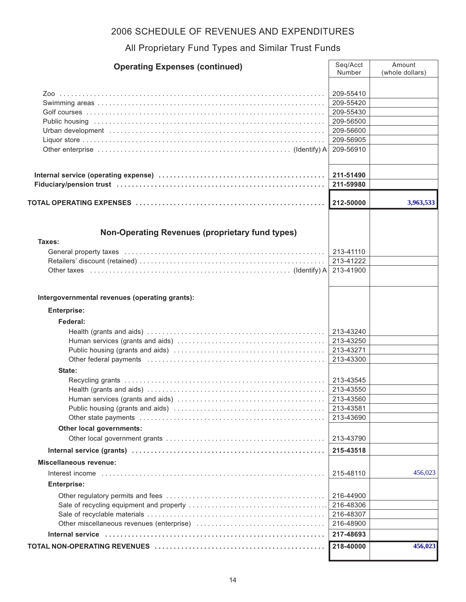#### All Proprietary Fund Types and Similar Trust Funds

| <b>Operating Expenses (continued)</b>                  | Seg/Acct<br>Number     | Amount<br>(whole dollars) |
|--------------------------------------------------------|------------------------|---------------------------|
|                                                        |                        |                           |
|                                                        | 209-55410              |                           |
|                                                        | 209-55420              |                           |
|                                                        | 209-55430              |                           |
|                                                        | 209-56500              |                           |
|                                                        | 209-56600              |                           |
|                                                        | 209-56905              |                           |
|                                                        | 209-56910              |                           |
|                                                        | 211-51490              |                           |
|                                                        | 211-59980              |                           |
|                                                        | 212-50000              | 3,963,533                 |
|                                                        |                        |                           |
| <b>Non-Operating Revenues (proprietary fund types)</b> |                        |                           |
| Taxes:                                                 |                        |                           |
|                                                        | 213-41110              |                           |
|                                                        | 213-41222              |                           |
|                                                        | 213-41900              |                           |
| Intergovernmental revenues (operating grants):         |                        |                           |
| <b>Enterprise:</b>                                     |                        |                           |
|                                                        |                        |                           |
| Federal:                                               |                        |                           |
|                                                        | 213-43240              |                           |
|                                                        | 213-43250<br>213-43271 |                           |
|                                                        | 213-43300              |                           |
|                                                        |                        |                           |
| State:                                                 |                        |                           |
|                                                        | 213-43545<br>213-43550 |                           |
|                                                        | 213-43560              |                           |
|                                                        | 213-43581              |                           |
|                                                        | 213-43690              |                           |
| Other local governments:                               |                        |                           |
|                                                        | 213-43790              |                           |
|                                                        | 215-43518              |                           |
| <b>Miscellaneous revenue:</b>                          |                        |                           |
|                                                        | 215-48110              | 456,023                   |
| <b>Enterprise:</b>                                     |                        |                           |
|                                                        | 216-44900              |                           |
|                                                        | 216-48306              |                           |
|                                                        | 216-48307              |                           |
|                                                        | 216-48900              |                           |
|                                                        | 217-48693              |                           |
|                                                        | 218-40000              | 456,023                   |
|                                                        |                        |                           |